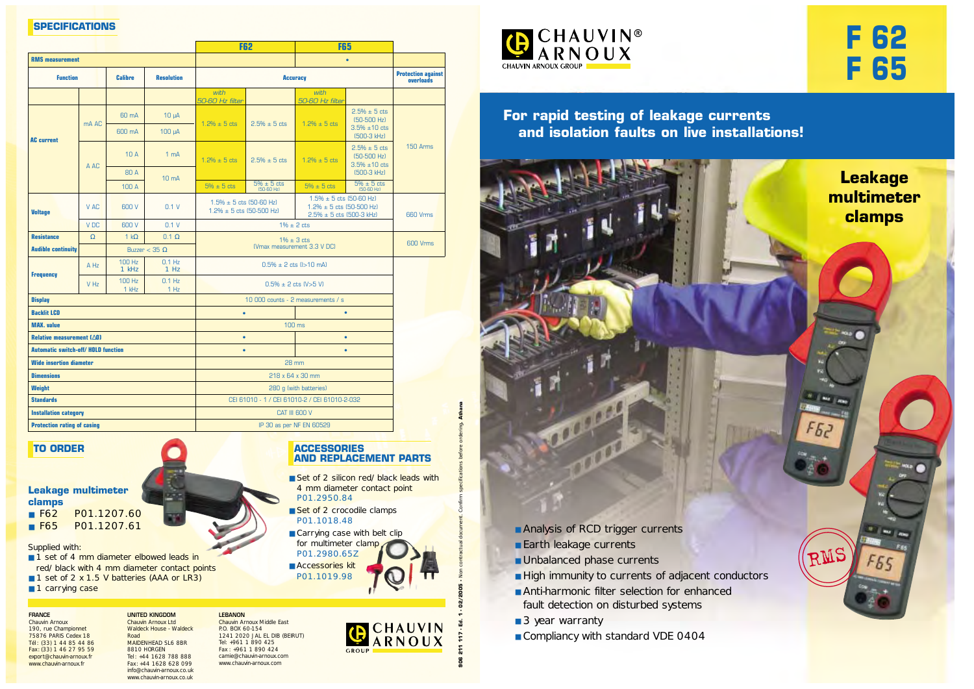



**Leakage**

**multimeter**

**clamps** 

RMS

All May

**F65** 

F 52

**For rapid testing of leakage currents and isolation faults on live installations!**



- Earth leakage currents
- Unbalanced phase currents

aged

P

- High immunity to currents of adjacent conductors
- Anti-harmonic filter selection for enhanced fault detection on disturbed systems
- 3 year warranty
- Compliancy with standard VDE 0404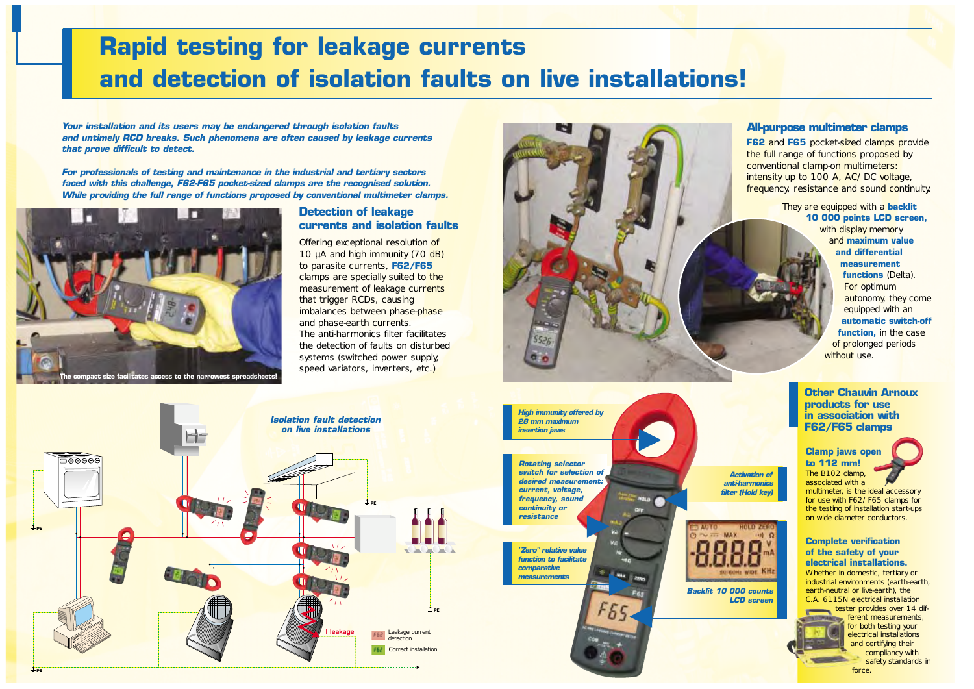*"Zero" relative value function to facilitate comparative measurements*

*Activation of anti-harmonics filter (Hold key)*



# **Rapid testing for leakage currents and detection of isolation faults on live installations!**

**F62** and F65 pocket-sized clamps provide the full range of functions proposed by conventional clamp-on multimeters: intensity up to 100 A, AC/DC voltage, frequency, resistance and sound continuity.

> They are equipped with a **backlit 10 000 points LCD screen,**

> > with display memory and **maximum value and differential measurement functions** (Delta). For optimum autonomy, they come equipped with an **automatic switch-off function,** in the case of prolonged periods without use.

## **Complete verification of the safety of your electrical installations.**

Whether in domestic, tertiary or industrial environments (earth-earth, earth-neutral or live-earth), the C.A. 6115N electrical installation

> tester provides over 14 different measurements, for both testing your electrical installations and certifying their compliancy with safety standards in force.

*Your installation and its users may be endangered through isolation faults and untimely RCD breaks. Such phenomena are often caused by leakage currents that prove difficult to detect.*

> ▼  $MAX$

associated with a multimeter, is the ideal accessory for use with F62/F65 clamps for the testing of installation start-ups on wide diameter conductors.

*For professionals of testing and maintenance in the industrial and tertiary sectors faced with this challenge, F62-F65 pocket-sized clamps are the recognised solution. While providing the full range of functions proposed by conventional multimeter clamps.*

> Offering exceptional resolution of 10 µA and high immunity (70 dB) to parasite currents, **F62/F65** clamps are specially suited to the measurement of leakage currents that trigger RCDs, causing imbalances between phase-phase and phase-earth currents. The anti-harmonics filter facilitates the detection of faults on disturbed systems (switched power supply, speed variators, inverters, etc.)

> > ▼

 $\overline{\phantom{a}}$ 

*High immunity offered by 28 mm maximum insertion jaws*

▼ *Rotating selector switch for selection of desired measurement: current, voltage, frequency, sound continuity or resistance*







*Backlit 10 000 counts*

*LCD screen*

**Other Chauvin Arnoux products for use in association with F62/F65 clamps**

## **All-purpose multimeter clamps**

# **Detection of leakage currents and isolation faults**

▼

#### **Clamp jaws open to 112 mm!**  The B102 clamp,